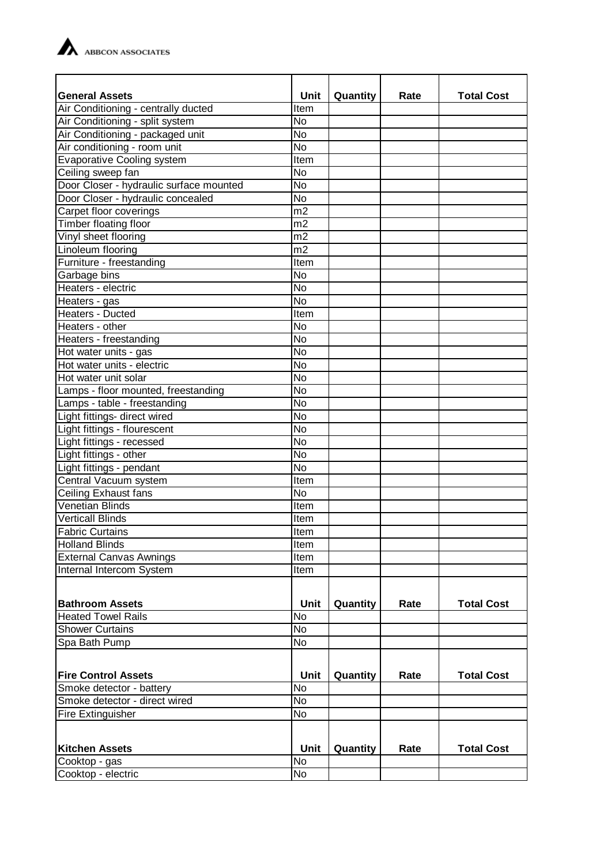

| <b>General Assets</b>                   | Unit           | Quantity | Rate | <b>Total Cost</b> |
|-----------------------------------------|----------------|----------|------|-------------------|
| Air Conditioning - centrally ducted     | Item           |          |      |                   |
| Air Conditioning - split system         | <b>No</b>      |          |      |                   |
| Air Conditioning - packaged unit        | <b>No</b>      |          |      |                   |
| Air conditioning - room unit            | <b>No</b>      |          |      |                   |
| <b>Evaporative Cooling system</b>       | Item           |          |      |                   |
| Ceiling sweep fan                       | <b>No</b>      |          |      |                   |
| Door Closer - hydraulic surface mounted | <b>No</b>      |          |      |                   |
| Door Closer - hydraulic concealed       | <b>No</b>      |          |      |                   |
| Carpet floor coverings                  | m2             |          |      |                   |
| <b>Timber floating floor</b>            | m2             |          |      |                   |
| Vinyl sheet flooring                    | m <sub>2</sub> |          |      |                   |
| Linoleum flooring                       | m2             |          |      |                   |
| Furniture - freestanding                | Item           |          |      |                   |
| Garbage bins                            | <b>No</b>      |          |      |                   |
| Heaters - electric                      | <b>No</b>      |          |      |                   |
| Heaters - gas                           | <b>No</b>      |          |      |                   |
| <b>Heaters - Ducted</b>                 | Item           |          |      |                   |
| Heaters - other                         | <b>No</b>      |          |      |                   |
| Heaters - freestanding                  | No             |          |      |                   |
| Hot water units - gas                   | <b>No</b>      |          |      |                   |
| Hot water units - electric              | $\overline{N}$ |          |      |                   |
| Hot water unit solar                    | <b>No</b>      |          |      |                   |
| Lamps - floor mounted, freestanding     | <b>No</b>      |          |      |                   |
| Lamps - table - freestanding            | <b>No</b>      |          |      |                   |
| Light fittings- direct wired            | <b>No</b>      |          |      |                   |
| Light fittings - flourescent            | <b>No</b>      |          |      |                   |
| Light fittings - recessed               | <b>No</b>      |          |      |                   |
| Light fittings - other                  | <b>No</b>      |          |      |                   |
| Light fittings - pendant                | <b>No</b>      |          |      |                   |
| Central Vacuum system                   | Item           |          |      |                   |
| <b>Ceiling Exhaust fans</b>             | N <sub>o</sub> |          |      |                   |
| <b>Venetian Blinds</b>                  | Item           |          |      |                   |
| <b>Verticall Blinds</b>                 | Item           |          |      |                   |
| <b>Fabric Curtains</b>                  | Item           |          |      |                   |
| <b>Holland Blinds</b>                   | Item           |          |      |                   |
| <b>External Canvas Awnings</b>          | Item           |          |      |                   |
| Internal Intercom System                | Item           |          |      |                   |
|                                         |                |          |      |                   |
| <b>Bathroom Assets</b>                  | <b>Unit</b>    | Quantity | Rate | <b>Total Cost</b> |
| <b>Heated Towel Rails</b>               | <b>No</b>      |          |      |                   |
| <b>Shower Curtains</b>                  | <b>No</b>      |          |      |                   |
| Spa Bath Pump                           | No             |          |      |                   |
|                                         |                |          |      |                   |
|                                         |                |          |      |                   |
| <b>Fire Control Assets</b>              | <b>Unit</b>    | Quantity | Rate | <b>Total Cost</b> |
| Smoke detector - battery                | <b>No</b>      |          |      |                   |
| Smoke detector - direct wired           | No             |          |      |                   |
| Fire Extinguisher                       | No             |          |      |                   |
|                                         |                |          |      |                   |
| <b>Kitchen Assets</b>                   | Unit           | Quantity | Rate | <b>Total Cost</b> |
| Cooktop - gas                           | <b>No</b>      |          |      |                   |
| Cooktop - electric                      | No             |          |      |                   |